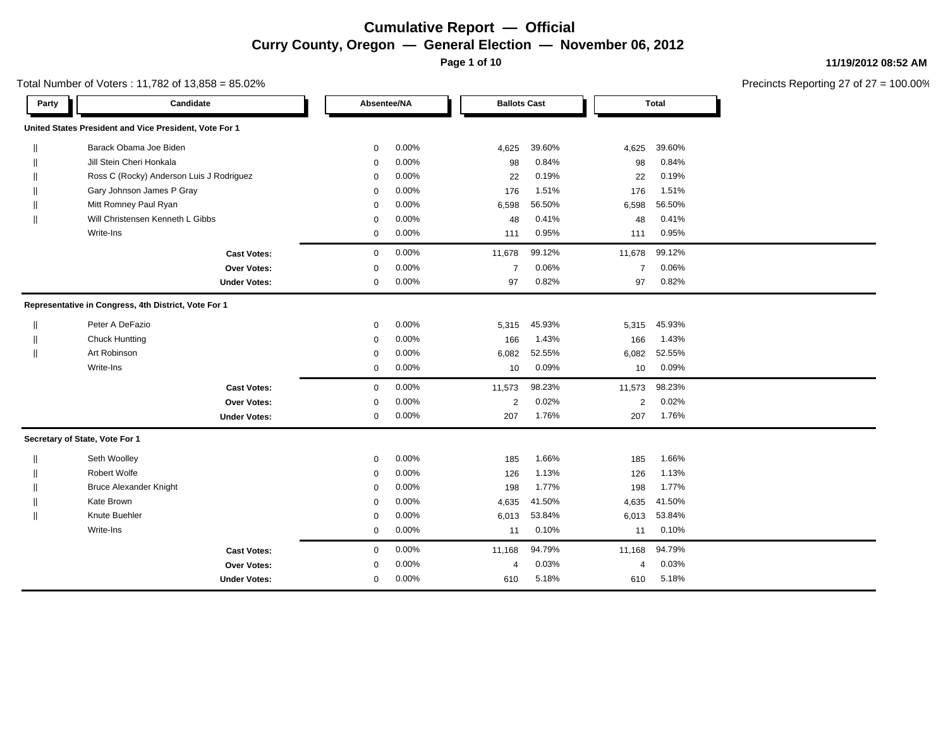**Page 1 of 10**

Total Number of Voters : 11,782 of 13,858 = 85.02%

| Party                                                | Candidate                                              |                     | Absentee/NA |       | <b>Ballots Cast</b> |        |                | <b>Total</b> |
|------------------------------------------------------|--------------------------------------------------------|---------------------|-------------|-------|---------------------|--------|----------------|--------------|
|                                                      | United States President and Vice President, Vote For 1 |                     |             |       |                     |        |                |              |
|                                                      | Barack Obama Joe Biden                                 |                     | $\mathbf 0$ | 0.00% | 4,625               | 39.60% | 4,625          | 39.60%       |
|                                                      | Jill Stein Cheri Honkala                               |                     | $\mathbf 0$ | 0.00% | 98                  | 0.84%  | 98             | 0.84%        |
|                                                      | Ross C (Rocky) Anderson Luis J Rodriguez               |                     | $\mathbf 0$ | 0.00% | 22                  | 0.19%  | 22             | 0.19%        |
|                                                      | Gary Johnson James P Gray                              |                     | $\mathbf 0$ | 0.00% | 176                 | 1.51%  | 176            | 1.51%        |
|                                                      | Mitt Romney Paul Ryan                                  |                     | $\mathbf 0$ | 0.00% | 6,598               | 56.50% | 6,598          | 56.50%       |
|                                                      | Will Christensen Kenneth L Gibbs                       |                     | 0           | 0.00% | 48                  | 0.41%  | 48             | 0.41%        |
|                                                      | Write-Ins                                              |                     | $\mathbf 0$ | 0.00% | 111                 | 0.95%  | 111            | 0.95%        |
|                                                      |                                                        | <b>Cast Votes:</b>  | $\mathbf 0$ | 0.00% | 11,678              | 99.12% | 11,678         | 99.12%       |
|                                                      |                                                        | Over Votes:         | $\mathbf 0$ | 0.00% | $\overline{7}$      | 0.06%  | $\overline{7}$ | 0.06%        |
|                                                      |                                                        | <b>Under Votes:</b> | $\mathbf 0$ | 0.00% | 97                  | 0.82%  | 97             | 0.82%        |
| Representative in Congress, 4th District, Vote For 1 |                                                        |                     |             |       |                     |        |                |              |
|                                                      | Peter A DeFazio                                        |                     | $\mathbf 0$ | 0.00% | 5,315               | 45.93% | 5,315          | 45.93%       |
|                                                      | <b>Chuck Huntting</b>                                  |                     | $\mathbf 0$ | 0.00% | 166                 | 1.43%  | 166            | 1.43%        |
|                                                      | Art Robinson                                           |                     | 0           | 0.00% | 6,082               | 52.55% | 6,082          | 52.55%       |
|                                                      | Write-Ins                                              |                     | $\mathbf 0$ | 0.00% | 10                  | 0.09%  | 10             | 0.09%        |
|                                                      |                                                        | <b>Cast Votes:</b>  | $\mathbf 0$ | 0.00% | 11,573              | 98.23% | 11,573         | 98.23%       |
|                                                      |                                                        | Over Votes:         | $\mathbf 0$ | 0.00% | $\overline{2}$      | 0.02%  | 2              | 0.02%        |
|                                                      |                                                        | <b>Under Votes:</b> | $\mathbf 0$ | 0.00% | 207                 | 1.76%  | 207            | 1.76%        |
|                                                      | Secretary of State, Vote For 1                         |                     |             |       |                     |        |                |              |
|                                                      | Seth Woolley                                           |                     | $\mathbf 0$ | 0.00% | 185                 | 1.66%  | 185            | 1.66%        |
|                                                      | <b>Robert Wolfe</b>                                    |                     | $\mathbf 0$ | 0.00% | 126                 | 1.13%  | 126            | 1.13%        |
|                                                      | <b>Bruce Alexander Knight</b>                          |                     | $\mathbf 0$ | 0.00% | 198                 | 1.77%  | 198            | 1.77%        |
|                                                      | Kate Brown                                             |                     | $\mathbf 0$ | 0.00% | 4,635               | 41.50% | 4,635          | 41.50%       |
|                                                      | Knute Buehler                                          |                     | $\mathbf 0$ | 0.00% | 6,013               | 53.84% | 6,013          | 53.84%       |
|                                                      | Write-Ins                                              |                     | $\mathbf 0$ | 0.00% | 11                  | 0.10%  | 11             | 0.10%        |
|                                                      |                                                        | <b>Cast Votes:</b>  | $\mathbf 0$ | 0.00% | 11,168              | 94.79% | 11,168         | 94.79%       |
|                                                      |                                                        | <b>Over Votes:</b>  | $\mathbf 0$ | 0.00% | 4                   | 0.03%  | 4              | 0.03%        |
|                                                      |                                                        | <b>Under Votes:</b> | $\mathbf 0$ | 0.00% | 610                 | 5.18%  | 610            | 5.18%        |

#### **11/19/2012 08:52 AM**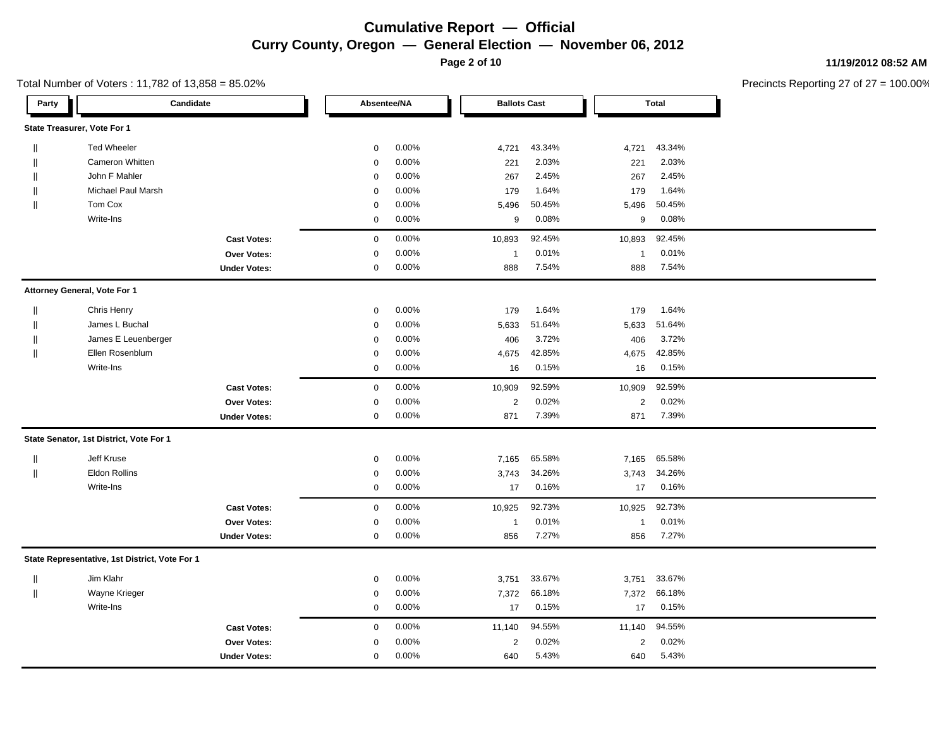**Page 2 of 10**

**11/19/2012 08:52 AM**

| Total Number of Voters : 11,782 of 13,858 = 85.02% |  |
|----------------------------------------------------|--|
|----------------------------------------------------|--|

| Party        |                                                | Candidate           | Absentee/NA |       | <b>Ballots Cast</b> |        | <b>Total</b>   |        |
|--------------|------------------------------------------------|---------------------|-------------|-------|---------------------|--------|----------------|--------|
|              | State Treasurer, Vote For 1                    |                     |             |       |                     |        |                |        |
| $\mathbf{I}$ | <b>Ted Wheeler</b>                             |                     | $\mathbf 0$ | 0.00% | 4,721               | 43.34% | 4,721          | 43.34% |
|              | <b>Cameron Whitten</b>                         |                     | $\mathbf 0$ | 0.00% | 221                 | 2.03%  | 221            | 2.03%  |
|              | John F Mahler                                  |                     | $\mathbf 0$ | 0.00% | 267                 | 2.45%  | 267            | 2.45%  |
| $\mathbf{I}$ | <b>Michael Paul Marsh</b>                      |                     | $\mathbf 0$ | 0.00% | 179                 | 1.64%  | 179            | 1.64%  |
| $\mathbf{I}$ | Tom Cox                                        |                     | $\mathbf 0$ | 0.00% | 5,496               | 50.45% | 5,496          | 50.45% |
|              | Write-Ins                                      |                     | 0           | 0.00% | 9                   | 0.08%  | 9              | 0.08%  |
|              |                                                | <b>Cast Votes:</b>  | $\mathbf 0$ | 0.00% | 10,893              | 92.45% | 10,893         | 92.45% |
|              |                                                | Over Votes:         | 0           | 0.00% | $\overline{1}$      | 0.01%  | $\overline{1}$ | 0.01%  |
|              |                                                | <b>Under Votes:</b> | $\mathbf 0$ | 0.00% | 888                 | 7.54%  | 888            | 7.54%  |
|              | Attorney General, Vote For 1                   |                     |             |       |                     |        |                |        |
| $\mathbf{I}$ | Chris Henry                                    |                     | $\mathbf 0$ | 0.00% | 179                 | 1.64%  | 179            | 1.64%  |
|              | James L Buchal                                 |                     | $\Omega$    | 0.00% | 5,633               | 51.64% | 5,633          | 51.64% |
| $\mathbf{I}$ | James E Leuenberger                            |                     | $\mathbf 0$ | 0.00% | 406                 | 3.72%  | 406            | 3.72%  |
| $\mathbf{I}$ | Ellen Rosenblum                                |                     | $\mathbf 0$ | 0.00% | 4,675               | 42.85% | 4,675          | 42.85% |
|              | Write-Ins                                      |                     | $\mathbf 0$ | 0.00% | 16                  | 0.15%  | 16             | 0.15%  |
|              |                                                | <b>Cast Votes:</b>  | $\mathbf 0$ | 0.00% | 10,909              | 92.59% | 10,909         | 92.59% |
|              |                                                | <b>Over Votes:</b>  | $\mathbf 0$ | 0.00% | 2                   | 0.02%  | $\overline{c}$ | 0.02%  |
|              |                                                | <b>Under Votes:</b> | 0           | 0.00% | 871                 | 7.39%  | 871            | 7.39%  |
|              | State Senator, 1st District, Vote For 1        |                     |             |       |                     |        |                |        |
| $\parallel$  | Jeff Kruse                                     |                     | $\mathbf 0$ | 0.00% | 7,165               | 65.58% | 7,165          | 65.58% |
| $\parallel$  | <b>Eldon Rollins</b>                           |                     | $\mathbf 0$ | 0.00% | 3,743               | 34.26% | 3,743          | 34.26% |
|              | Write-Ins                                      |                     | $\mathbf 0$ | 0.00% | 17                  | 0.16%  | 17             | 0.16%  |
|              |                                                | <b>Cast Votes:</b>  | $\mathbf 0$ | 0.00% | 10,925              | 92.73% | 10,925         | 92.73% |
|              |                                                | Over Votes:         | 0           | 0.00% | $\overline{1}$      | 0.01%  | $\overline{1}$ | 0.01%  |
|              |                                                | <b>Under Votes:</b> | $\mathbf 0$ | 0.00% | 856                 | 7.27%  | 856            | 7.27%  |
|              | State Representative, 1st District, Vote For 1 |                     |             |       |                     |        |                |        |
| $\mathbf{I}$ | Jim Klahr                                      |                     | $\mathbf 0$ | 0.00% | 3,751               | 33.67% | 3,751          | 33.67% |
| $\parallel$  | Wayne Krieger                                  |                     | $\mathbf 0$ | 0.00% | 7,372               | 66.18% | 7,372          | 66.18% |
|              | Write-Ins                                      |                     | 0           | 0.00% | 17                  | 0.15%  | 17             | 0.15%  |
|              |                                                | <b>Cast Votes:</b>  | $\mathbf 0$ | 0.00% | 11,140              | 94.55% | 11,140         | 94.55% |
|              |                                                | <b>Over Votes:</b>  | $\mathbf 0$ | 0.00% | $\overline{2}$      | 0.02%  | 2              | 0.02%  |
|              |                                                | <b>Under Votes:</b> | 0           | 0.00% | 640                 | 5.43%  | 640            | 5.43%  |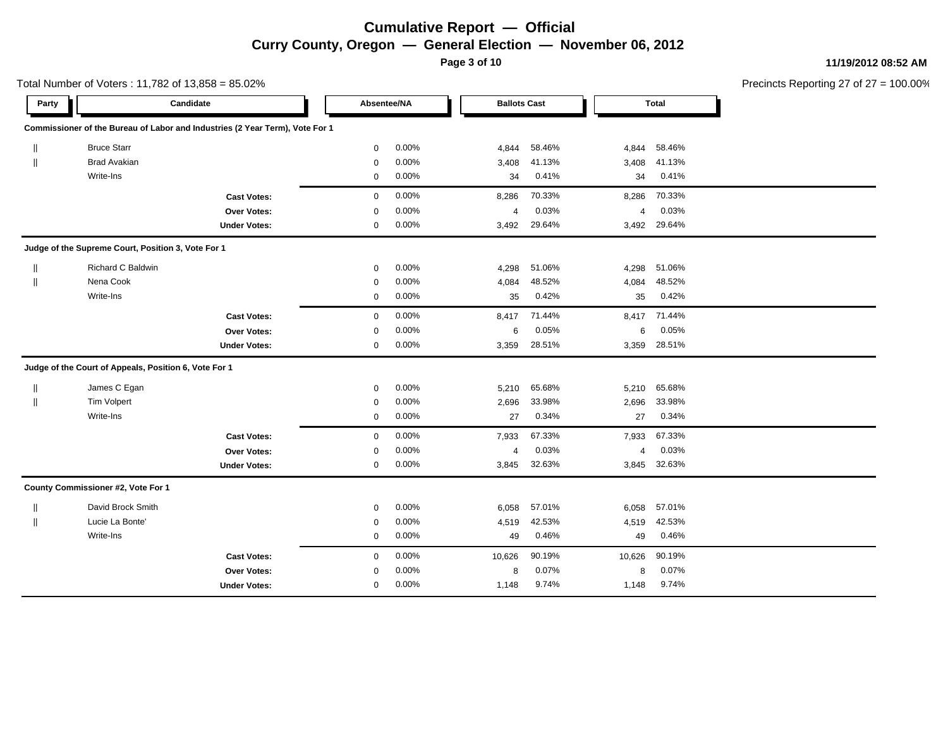**Page 3 of 10**

**11/19/2012 08:52 AM**

| Total Number of Voters: 11,782 of 13,858 = 85.02% |                                                       |                                                                              |             |       |                     |        |                |              | Precincts Reporting 27 of 27 |
|---------------------------------------------------|-------------------------------------------------------|------------------------------------------------------------------------------|-------------|-------|---------------------|--------|----------------|--------------|------------------------------|
| Party                                             |                                                       | Candidate                                                                    | Absentee/NA |       | <b>Ballots Cast</b> |        |                | <b>Total</b> |                              |
|                                                   |                                                       | Commissioner of the Bureau of Labor and Industries (2 Year Term), Vote For 1 |             |       |                     |        |                |              |                              |
| $\mathbb{I}$                                      | <b>Bruce Starr</b>                                    |                                                                              | $\mathbf 0$ | 0.00% | 4,844               | 58.46% | 4,844          | 58.46%       |                              |
| $\mathbb{I}$                                      | <b>Brad Avakian</b>                                   |                                                                              | $\mathbf 0$ | 0.00% | 3,408               | 41.13% | 3,408          | 41.13%       |                              |
|                                                   | Write-Ins                                             |                                                                              | $\mathbf 0$ | 0.00% | 34                  | 0.41%  | 34             | 0.41%        |                              |
|                                                   |                                                       | <b>Cast Votes:</b>                                                           | $\mathbf 0$ | 0.00% | 8,286               | 70.33% | 8,286          | 70.33%       |                              |
|                                                   |                                                       | Over Votes:                                                                  | $\mathbf 0$ | 0.00% | 4                   | 0.03%  | 4              | 0.03%        |                              |
|                                                   |                                                       | <b>Under Votes:</b>                                                          | $\mathbf 0$ | 0.00% | 3,492               | 29.64% | 3,492          | 29.64%       |                              |
|                                                   | Judge of the Supreme Court, Position 3, Vote For 1    |                                                                              |             |       |                     |        |                |              |                              |
|                                                   | Richard C Baldwin                                     |                                                                              | $\mathbf 0$ | 0.00% | 4,298               | 51.06% | 4,298          | 51.06%       |                              |
| $\mathbb{I}$                                      | Nena Cook                                             |                                                                              | 0           | 0.00% | 4,084               | 48.52% | 4,084          | 48.52%       |                              |
|                                                   | Write-Ins                                             |                                                                              | $\mathbf 0$ | 0.00% | 35                  | 0.42%  | 35             | 0.42%        |                              |
|                                                   |                                                       | <b>Cast Votes:</b>                                                           | $\mathbf 0$ | 0.00% | 8,417               | 71.44% | 8,417          | 71.44%       |                              |
|                                                   |                                                       | Over Votes:                                                                  | $\mathbf 0$ | 0.00% | 6                   | 0.05%  | 6              | 0.05%        |                              |
|                                                   |                                                       | <b>Under Votes:</b>                                                          | 0           | 0.00% | 3,359               | 28.51% | 3,359          | 28.51%       |                              |
|                                                   | Judge of the Court of Appeals, Position 6, Vote For 1 |                                                                              |             |       |                     |        |                |              |                              |
| Ш                                                 | James C Egan                                          |                                                                              | $\mathbf 0$ | 0.00% | 5,210               | 65.68% | 5,210          | 65.68%       |                              |
| $\mathbf{I}$                                      | <b>Tim Volpert</b>                                    |                                                                              | $\mathbf 0$ | 0.00% | 2,696               | 33.98% | 2,696          | 33.98%       |                              |
|                                                   | Write-Ins                                             |                                                                              | $\mathbf 0$ | 0.00% | 27                  | 0.34%  | 27             | 0.34%        |                              |
|                                                   |                                                       | <b>Cast Votes:</b>                                                           | $\mathbf 0$ | 0.00% | 7,933               | 67.33% | 7,933          | 67.33%       |                              |
|                                                   |                                                       | Over Votes:                                                                  | $\mathbf 0$ | 0.00% | $\overline{4}$      | 0.03%  | $\overline{4}$ | 0.03%        |                              |
|                                                   |                                                       | <b>Under Votes:</b>                                                          | $\mathbf 0$ | 0.00% | 3,845               | 32.63% | 3,845          | 32.63%       |                              |
|                                                   | County Commissioner #2, Vote For 1                    |                                                                              |             |       |                     |        |                |              |                              |
| $\mathsf{I}$                                      | David Brock Smith                                     |                                                                              | $\mathbf 0$ | 0.00% | 6,058               | 57.01% | 6,058          | 57.01%       |                              |
| $\mathbf{I}$                                      | Lucie La Bonte'                                       |                                                                              | $\mathbf 0$ | 0.00% | 4,519               | 42.53% | 4,519          | 42.53%       |                              |
|                                                   | Write-Ins                                             |                                                                              | $\mathbf 0$ | 0.00% | 49                  | 0.46%  | 49             | 0.46%        |                              |
|                                                   |                                                       | <b>Cast Votes:</b>                                                           | $\mathbf 0$ | 0.00% | 10,626              | 90.19% | 10,626         | 90.19%       |                              |
|                                                   |                                                       | Over Votes:                                                                  | $\mathbf 0$ | 0.00% | 8                   | 0.07%  | 8              | 0.07%        |                              |
|                                                   |                                                       | <b>Under Votes:</b>                                                          | $\mathbf 0$ | 0.00% | 1,148               | 9.74%  | 1,148          | 9.74%        |                              |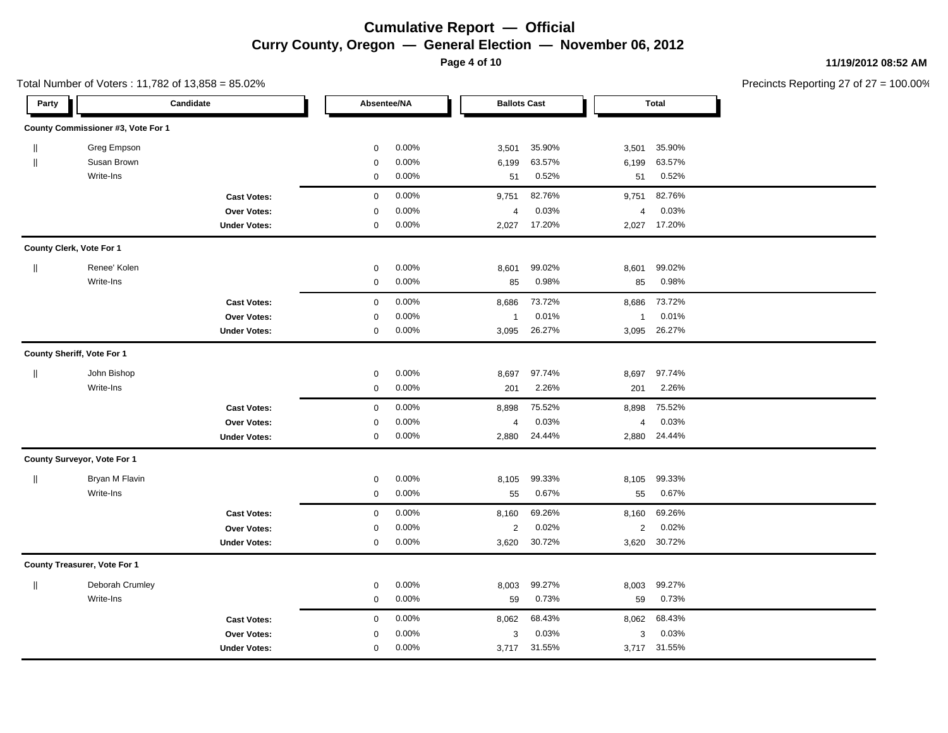**Page 4 of 10**

**11/19/2012 08:52 AM**

|                                       | Total Number of Voters: 11,782 of 13,858 = 85.02% |                     |                     |       |                     |        |                         |              | Precincts Reporting 27 of 27 |
|---------------------------------------|---------------------------------------------------|---------------------|---------------------|-------|---------------------|--------|-------------------------|--------------|------------------------------|
| Party                                 |                                                   | Candidate           | Absentee/NA         |       | <b>Ballots Cast</b> |        |                         | <b>Total</b> |                              |
|                                       | County Commissioner #3, Vote For 1                |                     |                     |       |                     |        |                         |              |                              |
| $\parallel$                           | Greg Empson                                       |                     | $\mathbf 0$         | 0.00% | 3,501               | 35.90% | 3,501                   | 35.90%       |                              |
| $\parallel$                           | Susan Brown                                       |                     | $\mathbf 0$         | 0.00% | 6,199               | 63.57% | 6,199                   | 63.57%       |                              |
|                                       | Write-Ins                                         |                     | $\mathbf 0$         | 0.00% | 51                  | 0.52%  | 51                      | 0.52%        |                              |
|                                       |                                                   | <b>Cast Votes:</b>  | $\mathbf 0$         | 0.00% | 9,751               | 82.76% | 9,751                   | 82.76%       |                              |
|                                       |                                                   | Over Votes:         | $\pmb{0}$           | 0.00% | 4                   | 0.03%  | $\overline{\mathbf{4}}$ | 0.03%        |                              |
|                                       |                                                   | <b>Under Votes:</b> | $\mathbf 0$         | 0.00% | 2,027               | 17.20% |                         | 2,027 17.20% |                              |
|                                       | County Clerk, Vote For 1                          |                     |                     |       |                     |        |                         |              |                              |
| $\label{eq:1} \prod_{i=1}^n \alpha_i$ | Renee' Kolen                                      |                     | $\mathbf 0$         | 0.00% | 8,601               | 99.02% | 8,601                   | 99.02%       |                              |
|                                       | Write-Ins                                         |                     | $\pmb{0}$           | 0.00% | 85                  | 0.98%  | 85                      | 0.98%        |                              |
|                                       |                                                   | <b>Cast Votes:</b>  | $\pmb{0}$           | 0.00% | 8,686               | 73.72% | 8,686                   | 73.72%       |                              |
|                                       |                                                   | <b>Over Votes:</b>  | 0                   | 0.00% | $\mathbf{1}$        | 0.01%  | $\mathbf 1$             | 0.01%        |                              |
|                                       |                                                   | <b>Under Votes:</b> | 0                   | 0.00% | 3,095               | 26.27% | 3,095                   | 26.27%       |                              |
|                                       | County Sheriff, Vote For 1                        |                     |                     |       |                     |        |                         |              |                              |
| $\parallel$                           | John Bishop                                       |                     | $\mathbf 0$         | 0.00% | 8,697               | 97.74% | 8,697                   | 97.74%       |                              |
|                                       | Write-Ins                                         |                     | $\pmb{0}$           | 0.00% | 201                 | 2.26%  | 201                     | 2.26%        |                              |
|                                       |                                                   | <b>Cast Votes:</b>  | $\mathsf{O}\xspace$ | 0.00% | 8,898               | 75.52% | 8,898                   | 75.52%       |                              |
|                                       |                                                   | <b>Over Votes:</b>  | $\mathbf 0$         | 0.00% | 4                   | 0.03%  | 4                       | 0.03%        |                              |
|                                       |                                                   | <b>Under Votes:</b> | $\mathbf 0$         | 0.00% | 2,880               | 24.44% | 2,880                   | 24.44%       |                              |
|                                       | County Surveyor, Vote For 1                       |                     |                     |       |                     |        |                         |              |                              |
| $\parallel$                           | Bryan M Flavin                                    |                     | $\mathbf 0$         | 0.00% | 8,105               | 99.33% | 8,105                   | 99.33%       |                              |
|                                       | Write-Ins                                         |                     | $\pmb{0}$           | 0.00% | 55                  | 0.67%  | 55                      | 0.67%        |                              |
|                                       |                                                   | <b>Cast Votes:</b>  | $\pmb{0}$           | 0.00% | 8,160               | 69.26% | 8,160                   | 69.26%       |                              |
|                                       |                                                   | Over Votes:         | $\mathbf 0$         | 0.00% | $\overline{c}$      | 0.02%  | 2                       | 0.02%        |                              |
|                                       |                                                   | <b>Under Votes:</b> | $\mathbf 0$         | 0.00% | 3,620               | 30.72% | 3,620                   | 30.72%       |                              |
|                                       | County Treasurer, Vote For 1                      |                     |                     |       |                     |        |                         |              |                              |
| $\parallel$                           | Deborah Crumley                                   |                     | $\pmb{0}$           | 0.00% | 8,003               | 99.27% | 8,003                   | 99.27%       |                              |
|                                       | Write-Ins                                         |                     | 0                   | 0.00% | 59                  | 0.73%  | 59                      | 0.73%        |                              |
|                                       |                                                   | <b>Cast Votes:</b>  | $\pmb{0}$           | 0.00% | 8,062               | 68.43% | 8,062                   | 68.43%       |                              |
|                                       |                                                   | <b>Over Votes:</b>  | 0                   | 0.00% | 3                   | 0.03%  | 3                       | 0.03%        |                              |
|                                       |                                                   | <b>Under Votes:</b> | $\mathbf 0$         | 0.00% | 3,717               | 31.55% |                         | 3,717 31.55% |                              |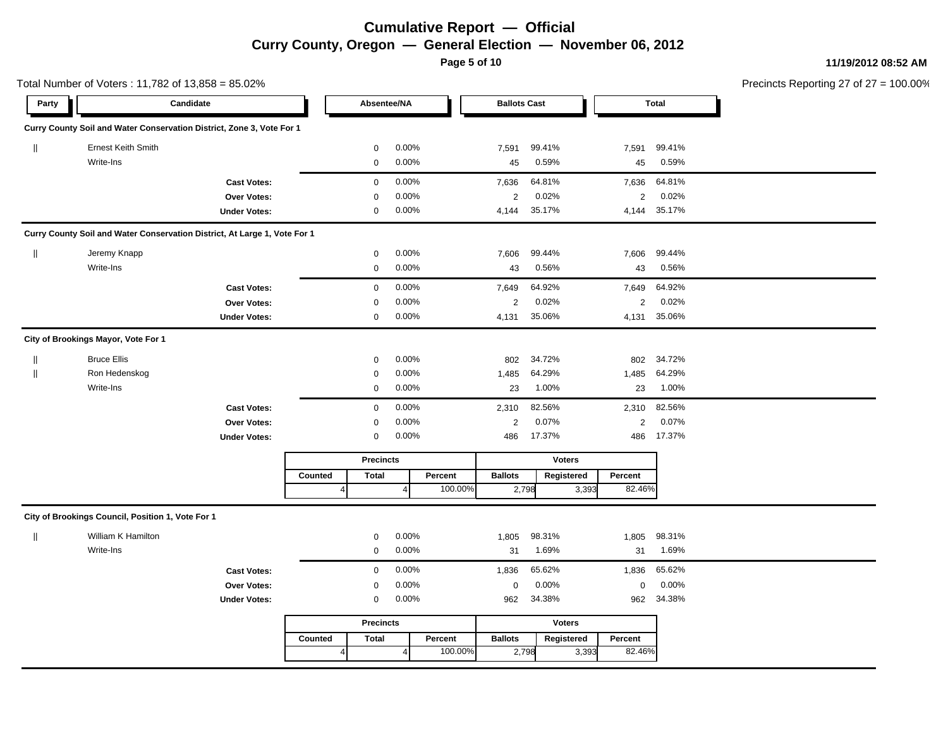**Page 5 of 10**

**11/19/2012 08:52 AM**

|              | Total Number of Voters: 11,782 of 13,858 = 85.02% |                                                                           |         |                  |       |         |                     |               |                 |              | Precincts Reporting 27 of 27 |
|--------------|---------------------------------------------------|---------------------------------------------------------------------------|---------|------------------|-------|---------|---------------------|---------------|-----------------|--------------|------------------------------|
| Party        |                                                   | Candidate                                                                 |         | Absentee/NA      |       |         | <b>Ballots Cast</b> |               |                 | <b>Total</b> |                              |
|              |                                                   | Curry County Soil and Water Conservation District, Zone 3, Vote For 1     |         |                  |       |         |                     |               |                 |              |                              |
| $\parallel$  | <b>Ernest Keith Smith</b>                         |                                                                           |         | $\mathbf 0$      | 0.00% |         | 7,591               | 99.41%        | 7,591           | 99.41%       |                              |
|              | Write-Ins                                         |                                                                           |         | $\mathbf 0$      | 0.00% |         | 45                  | 0.59%         | 45              | 0.59%        |                              |
|              |                                                   | <b>Cast Votes:</b>                                                        |         | $\mathbf 0$      | 0.00% |         | 7,636               | 64.81%        | 7,636           | 64.81%       |                              |
|              |                                                   | <b>Over Votes:</b>                                                        |         | $\mathbf 0$      | 0.00% |         | $\overline{2}$      | 0.02%         | 2               | 0.02%        |                              |
|              |                                                   | <b>Under Votes:</b>                                                       |         | $\mathbf 0$      | 0.00% |         | 4,144               | 35.17%        | 4,144           | 35.17%       |                              |
|              |                                                   | Curry County Soil and Water Conservation District, At Large 1, Vote For 1 |         |                  |       |         |                     |               |                 |              |                              |
| $\parallel$  | Jeremy Knapp                                      |                                                                           |         | $\mathbf 0$      | 0.00% |         | 7,606               | 99.44%        | 7,606           | 99.44%       |                              |
|              | Write-Ins                                         |                                                                           |         | $\mathbf 0$      | 0.00% |         | 43                  | 0.56%         | 43              | 0.56%        |                              |
|              |                                                   | <b>Cast Votes:</b>                                                        |         | $\mathbf 0$      | 0.00% |         | 7,649               | 64.92%        | 7,649           | 64.92%       |                              |
|              |                                                   | <b>Over Votes:</b>                                                        |         | $\mathbf 0$      | 0.00% |         | $\overline{2}$      | 0.02%         | $\overline{2}$  | 0.02%        |                              |
|              |                                                   | <b>Under Votes:</b>                                                       |         | $\mathbf 0$      | 0.00% |         | 4,131               | 35.06%        | 4,131           | 35.06%       |                              |
|              | City of Brookings Mayor, Vote For 1               |                                                                           |         |                  |       |         |                     |               |                 |              |                              |
| $\parallel$  | <b>Bruce Ellis</b>                                |                                                                           |         | $\mathbf 0$      | 0.00% |         | 802                 | 34.72%        | 802             | 34.72%       |                              |
| $\mathbf{I}$ | Ron Hedenskog                                     |                                                                           |         | $\mathbf 0$      | 0.00% |         | 1,485               | 64.29%        | 1,485           | 64.29%       |                              |
|              | Write-Ins                                         |                                                                           |         | $\mathbf 0$      | 0.00% |         | 23                  | 1.00%         | 23              | 1.00%        |                              |
|              |                                                   | <b>Cast Votes:</b>                                                        |         | $\mathbf 0$      | 0.00% |         | 2,310               | 82.56%        | 2,310           | 82.56%       |                              |
|              |                                                   | Over Votes:                                                               |         | $\mathbf 0$      | 0.00% |         | $\overline{2}$      | 0.07%         | $\overline{2}$  | 0.07%        |                              |
|              |                                                   | <b>Under Votes:</b>                                                       |         | $\mathbf 0$      | 0.00% |         | 486                 | 17.37%        | 486             | 17.37%       |                              |
|              |                                                   |                                                                           |         | <b>Precincts</b> |       |         |                     | <b>Voters</b> |                 |              |                              |
|              |                                                   |                                                                           | Counted | <b>Total</b>     |       | Percent | <b>Ballots</b>      | Registered    | Percent         |              |                              |
|              |                                                   |                                                                           |         |                  |       | 100.00% |                     | 2,798         | 82.46%<br>3,393 |              |                              |
|              | City of Brookings Council, Position 1, Vote For 1 |                                                                           |         |                  |       |         |                     |               |                 |              |                              |
| $\parallel$  | William K Hamilton                                |                                                                           |         | $\mathbf 0$      | 0.00% |         | 1,805               | 98.31%        | 1,805           | 98.31%       |                              |
|              | Write-Ins                                         |                                                                           |         | $\mathbf 0$      | 0.00% |         | 31                  | 1.69%         | 31              | 1.69%        |                              |
|              |                                                   | <b>Cast Votes:</b>                                                        |         | $\mathbf 0$      | 0.00% |         | 1,836               | 65.62%        | 1,836           | 65.62%       |                              |
|              |                                                   | <b>Over Votes:</b>                                                        |         | $\mathbf 0$      | 0.00% |         | $\boldsymbol{0}$    | 0.00%         | $\mathbf 0$     | 0.00%        |                              |
|              |                                                   | <b>Under Votes:</b>                                                       |         | $\mathbf 0$      | 0.00% |         | 962                 | 34.38%        | 962             | 34.38%       |                              |
|              |                                                   |                                                                           |         | <b>Precincts</b> |       |         |                     | Voters        |                 |              |                              |
|              |                                                   |                                                                           | Counted | <b>Total</b>     |       | Percent | <b>Ballots</b>      | Registered    | Percent         |              |                              |
|              |                                                   |                                                                           |         |                  |       | 100.00% |                     | 2,798         | 82.46%<br>3,393 |              |                              |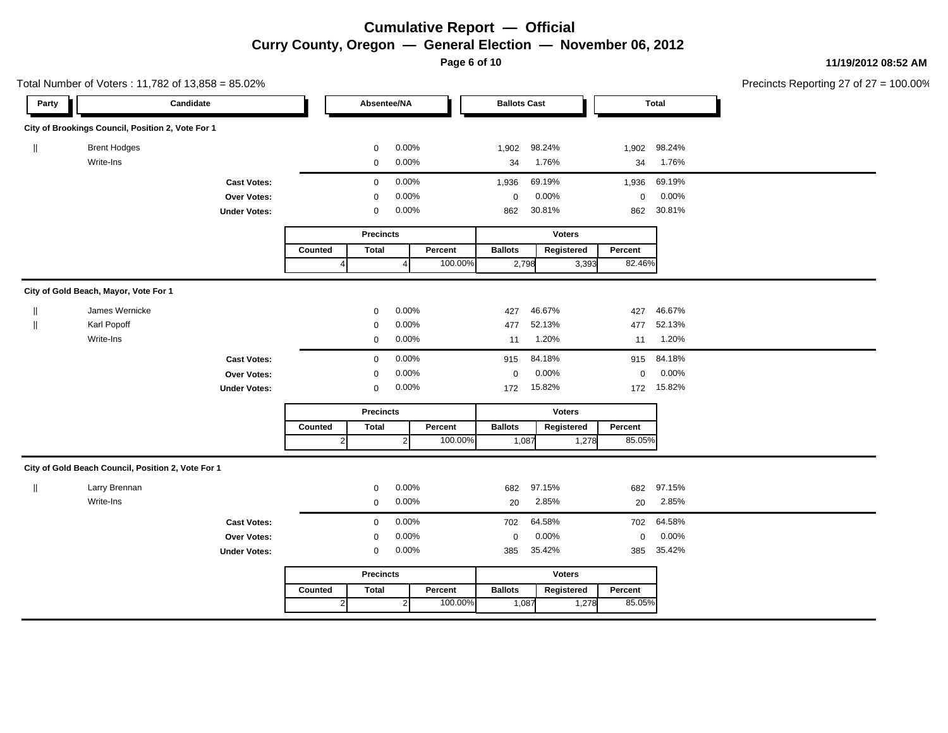**Page 6 of 10**

#### **11/19/2012 08:52 AM**

| Total Number of Voters: 11,782 of 13,858 = 85.02% |                                                    |                     |                |                  |                |         |                     |               |             |              | Precincts Reporting 27 of 27 = |
|---------------------------------------------------|----------------------------------------------------|---------------------|----------------|------------------|----------------|---------|---------------------|---------------|-------------|--------------|--------------------------------|
| Party                                             |                                                    | Candidate           |                | Absentee/NA      |                |         | <b>Ballots Cast</b> |               |             | <b>Total</b> |                                |
|                                                   | City of Brookings Council, Position 2, Vote For 1  |                     |                |                  |                |         |                     |               |             |              |                                |
|                                                   | <b>Brent Hodges</b>                                |                     |                | $\mathbf 0$      | 0.00%          |         | 1,902               | 98.24%        | 1,902       | 98.24%       |                                |
|                                                   | Write-Ins                                          |                     |                | $\mathbf 0$      | 0.00%          |         | 34                  | 1.76%         | 34          | 1.76%        |                                |
|                                                   |                                                    | <b>Cast Votes:</b>  |                | $\mathbf 0$      | 0.00%          |         | 1,936               | 69.19%        | 1,936       | 69.19%       |                                |
|                                                   |                                                    | Over Votes:         |                | 0                | 0.00%          |         | $\boldsymbol{0}$    | 0.00%         | 0           | 0.00%        |                                |
|                                                   |                                                    | <b>Under Votes:</b> |                | $\mathbf 0$      | 0.00%          |         | 862                 | 30.81%        | 862         | 30.81%       |                                |
|                                                   |                                                    |                     |                | <b>Precincts</b> |                |         |                     | <b>Voters</b> |             |              |                                |
|                                                   |                                                    |                     | Counted        | <b>Total</b>     |                | Percent | <b>Ballots</b>      | Registered    | Percent     |              |                                |
|                                                   |                                                    |                     | Δ              |                  | $\overline{4}$ | 100.00% | 2,798               | 3,393         | 82.46%      |              |                                |
|                                                   | City of Gold Beach, Mayor, Vote For 1              |                     |                |                  |                |         |                     |               |             |              |                                |
|                                                   | James Wernicke                                     |                     |                | $\mathbf 0$      | 0.00%          |         | 427                 | 46.67%        | 427         | 46.67%       |                                |
|                                                   | Karl Popoff                                        |                     |                | $\mathbf 0$      | 0.00%          |         | 477                 | 52.13%        | 477         | 52.13%       |                                |
|                                                   | Write-Ins                                          |                     |                | $\mathbf 0$      | 0.00%          |         | 11                  | 1.20%         | 11          | 1.20%        |                                |
|                                                   |                                                    | <b>Cast Votes:</b>  |                | $\mathbf 0$      | 0.00%          |         | 915                 | 84.18%        | 915         | 84.18%       |                                |
|                                                   |                                                    | Over Votes:         |                | $\mathbf 0$      | 0.00%          |         | $\mathbf 0$         | 0.00%         | $\mathbf 0$ | 0.00%        |                                |
|                                                   |                                                    | <b>Under Votes:</b> |                | $\mathbf 0$      | 0.00%          |         | 172                 | 15.82%        | 172         | 15.82%       |                                |
|                                                   |                                                    |                     |                | <b>Precincts</b> |                |         |                     | <b>Voters</b> |             |              |                                |
|                                                   |                                                    |                     | Counted        | <b>Total</b>     |                | Percent | <b>Ballots</b>      | Registered    | Percent     |              |                                |
|                                                   |                                                    |                     | $\overline{2}$ |                  | $\overline{2}$ | 100.00% | 1,087               | 1,278         | 85.05%      |              |                                |
|                                                   | City of Gold Beach Council, Position 2, Vote For 1 |                     |                |                  |                |         |                     |               |             |              |                                |
| H                                                 | Larry Brennan                                      |                     |                | $\mathbf 0$      | 0.00%          |         | 682                 | 97.15%        | 682         | 97.15%       |                                |
|                                                   | Write-Ins                                          |                     |                | 0                | 0.00%          |         | 20                  | 2.85%         | 20          | 2.85%        |                                |
|                                                   |                                                    | <b>Cast Votes:</b>  |                | $\mathbf 0$      | 0.00%          |         | 702                 | 64.58%        | 702         | 64.58%       |                                |
|                                                   |                                                    | Over Votes:         |                | $\mathbf 0$      | 0.00%          |         | $\mathbf 0$         | 0.00%         | 0           | 0.00%        |                                |
|                                                   |                                                    | <b>Under Votes:</b> |                | $\mathbf 0$      | 0.00%          |         | 385                 | 35.42%        | 385         | 35.42%       |                                |
|                                                   |                                                    |                     |                | <b>Precincts</b> |                |         |                     | <b>Voters</b> |             |              |                                |
|                                                   |                                                    |                     | Counted        | <b>Total</b>     |                | Percent | <b>Ballots</b>      | Registered    | Percent     |              |                                |
|                                                   |                                                    |                     | $\overline{2}$ |                  | $\mathbf{2}$   | 100.00% | 1,087               | 1,278         | 85.05%      |              |                                |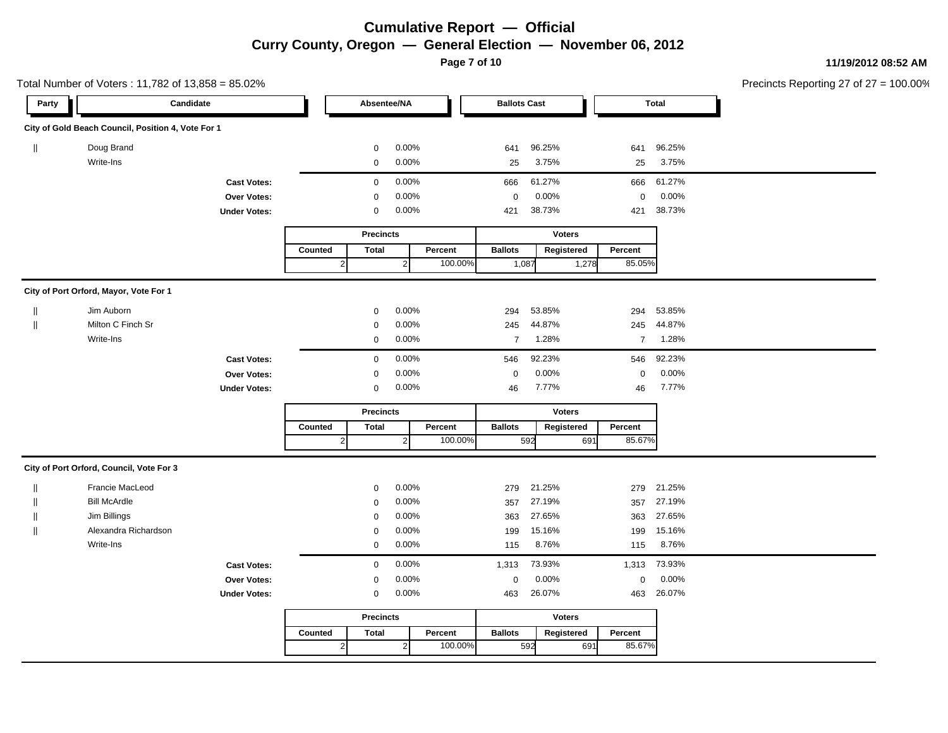**Page 7 of 10**

#### **11/19/2012 08:52 AM**

|              | Total Number of Voters: 11,782 of 13,858 = 85.02%  |                     |                  |                  |                |         |                     |        |               |                | Precincts Reporting 27 of 27 |  |
|--------------|----------------------------------------------------|---------------------|------------------|------------------|----------------|---------|---------------------|--------|---------------|----------------|------------------------------|--|
| Party        |                                                    | Candidate           |                  | Absentee/NA      |                |         | <b>Ballots Cast</b> |        |               |                | <b>Total</b>                 |  |
|              | City of Gold Beach Council, Position 4, Vote For 1 |                     |                  |                  |                |         |                     |        |               |                |                              |  |
| $\mathbb{I}$ | Doug Brand                                         |                     |                  | $\mathbf 0$      | 0.00%          |         | 641                 | 96.25% |               | 641            | 96.25%                       |  |
|              | Write-Ins                                          |                     |                  | $\mathbf 0$      | 0.00%          |         | 25                  | 3.75%  |               | 25             | 3.75%                        |  |
|              |                                                    | <b>Cast Votes:</b>  |                  | $\mathbf 0$      | 0.00%          |         | 666                 | 61.27% |               | 666            | 61.27%                       |  |
|              |                                                    | Over Votes:         |                  | $\mathbf 0$      | 0.00%          |         | $\mathbf 0$         | 0.00%  |               | $\mathbf 0$    | 0.00%                        |  |
|              |                                                    | <b>Under Votes:</b> |                  | 0                | 0.00%          |         | 421                 | 38.73% |               | 421            | 38.73%                       |  |
|              |                                                    |                     |                  | <b>Precincts</b> |                |         |                     |        | <b>Voters</b> |                |                              |  |
|              |                                                    |                     | Counted          | <b>Total</b>     |                | Percent | <b>Ballots</b>      |        | Registered    | Percent        |                              |  |
|              |                                                    |                     | $\overline{2}$   |                  | $\overline{2}$ | 100.00% | 1,087               |        | 1,278         | 85.05%         |                              |  |
|              | City of Port Orford, Mayor, Vote For 1             |                     |                  |                  |                |         |                     |        |               |                |                              |  |
|              | Jim Auborn                                         |                     |                  | $\mathsf 0$      | 0.00%          |         | 294                 | 53.85% |               | 294            | 53.85%                       |  |
| $\mathbf{I}$ | Milton C Finch Sr                                  |                     |                  | $\pmb{0}$        | 0.00%          |         | 245                 | 44.87% |               | 245            | 44.87%                       |  |
|              | Write-Ins                                          |                     |                  | $\mathbf 0$      | 0.00%          |         | $\overline{7}$      | 1.28%  |               | $\overline{7}$ | 1.28%                        |  |
|              |                                                    | <b>Cast Votes:</b>  |                  | $\mathbf 0$      | 0.00%          |         | 546                 | 92.23% |               | 546            | 92.23%                       |  |
|              |                                                    | <b>Over Votes:</b>  |                  | $\mathbf 0$      | 0.00%          |         | $\mathbf 0$         | 0.00%  |               | $\mathbf 0$    | 0.00%                        |  |
|              |                                                    | <b>Under Votes:</b> |                  | $\pmb{0}$        | 0.00%          |         | 46                  | 7.77%  |               | 46             | 7.77%                        |  |
|              |                                                    |                     | <b>Precincts</b> |                  |                |         |                     |        | <b>Voters</b> |                |                              |  |
|              |                                                    |                     | Counted          | <b>Total</b>     |                | Percent | <b>Ballots</b>      |        | Registered    | Percent        |                              |  |
|              |                                                    |                     | $\overline{2}$   |                  | $\overline{2}$ | 100.00% |                     | 592    | 691           | 85.67%         |                              |  |
|              | City of Port Orford, Council, Vote For 3           |                     |                  |                  |                |         |                     |        |               |                |                              |  |
|              | Francie MacLeod                                    |                     |                  | $\mathbf 0$      | 0.00%          |         | 279                 | 21.25% |               | 279            | 21.25%                       |  |
|              | <b>Bill McArdle</b>                                |                     |                  | $\mathbf 0$      | 0.00%          |         | 357                 | 27.19% |               | 357            | 27.19%                       |  |
|              | Jim Billings                                       |                     |                  | 0                | 0.00%          |         | 363                 | 27.65% |               | 363            | 27.65%                       |  |
| $\mathbb{I}$ | Alexandra Richardson                               |                     |                  | $\mathbf 0$      | 0.00%          |         | 199                 | 15.16% |               | 199            | 15.16%                       |  |
|              | Write-Ins                                          |                     |                  | $\mathsf 0$      | 0.00%          |         | 115                 | 8.76%  |               | 115            | 8.76%                        |  |
|              |                                                    | <b>Cast Votes:</b>  |                  | $\mathbf 0$      | 0.00%          |         | 1,313               | 73.93% |               | 1,313          | 73.93%                       |  |
|              |                                                    | Over Votes:         |                  | 0                | 0.00%          |         | 0                   | 0.00%  |               | $\mathbf 0$    | 0.00%                        |  |
|              |                                                    | <b>Under Votes:</b> |                  | $\mathsf 0$      | 0.00%          |         | 463                 | 26.07% |               | 463            | 26.07%                       |  |
|              |                                                    |                     |                  | <b>Precincts</b> |                |         |                     |        | <b>Voters</b> |                |                              |  |
|              |                                                    |                     | Counted          | <b>Total</b>     |                | Percent | <b>Ballots</b>      |        | Registered    | Percent        |                              |  |
|              |                                                    |                     | $\mathbf{2}$     |                  | $\overline{2}$ | 100.00% |                     | 592    | 691           | 85.67%         |                              |  |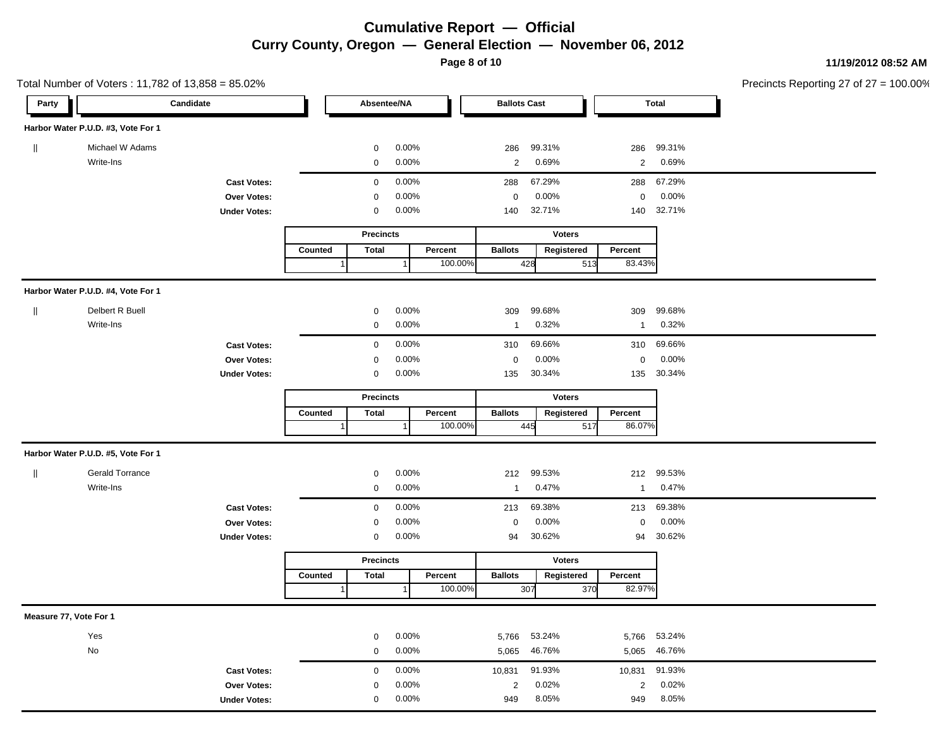**Page 8 of 10**

#### **11/19/2012 08:52 AM**

|                        | Total Number of Voters: 11,782 of 13,858 = 85.02% |                     |         |                  |                  |         |                     |               |               |                         | Precincts Reporting 27 of 27 = |
|------------------------|---------------------------------------------------|---------------------|---------|------------------|------------------|---------|---------------------|---------------|---------------|-------------------------|--------------------------------|
| Party                  |                                                   | Candidate           |         | Absentee/NA      |                  |         | <b>Ballots Cast</b> |               |               | <b>Total</b>            |                                |
|                        | Harbor Water P.U.D. #3, Vote For 1                |                     |         |                  |                  |         |                     |               |               |                         |                                |
| $\parallel$            | Michael W Adams                                   |                     |         | 0                | 0.00%            |         | 286                 | 99.31%        | 286           | 99.31%                  |                                |
|                        | Write-Ins                                         |                     |         | 0                | 0.00%            |         | $\overline{2}$      | 0.69%         |               | $\overline{2}$<br>0.69% |                                |
|                        |                                                   | <b>Cast Votes:</b>  |         | $\mathbf 0$      | 0.00%            |         | 288                 | 67.29%        | 288           | 67.29%                  |                                |
|                        |                                                   | Over Votes:         |         | $\mathbf 0$      | 0.00%            |         | $\mathbf 0$         | 0.00%         |               | 0.00%<br>0              |                                |
|                        |                                                   | <b>Under Votes:</b> |         | 0                | 0.00%            |         | 140                 | 32.71%        | 140           | 32.71%                  |                                |
|                        |                                                   |                     |         | <b>Precincts</b> |                  |         |                     | <b>Voters</b> |               |                         |                                |
|                        |                                                   |                     | Counted | <b>Total</b>     |                  | Percent | <b>Ballots</b>      | Registered    | Percent       |                         |                                |
|                        |                                                   |                     |         |                  | 1                | 100.00% |                     | 428           | 83.43%<br>513 |                         |                                |
|                        | Harbor Water P.U.D. #4, Vote For 1                |                     |         |                  |                  |         |                     |               |               |                         |                                |
| $\mathbf{I}$           | Delbert R Buell                                   |                     |         | 0                | 0.00%            |         | 309                 | 99.68%        | 309           | 99.68%                  |                                |
|                        | Write-Ins                                         |                     |         | 0                | $0.00\%$         |         | $\mathbf{1}$        | 0.32%         | $\mathbf{1}$  | 0.32%                   |                                |
|                        |                                                   | <b>Cast Votes:</b>  |         | $\mathbf 0$      | 0.00%            |         | 310                 | 69.66%        | 310           | 69.66%                  |                                |
|                        |                                                   | Over Votes:         |         | 0                | 0.00%            |         | $\mathbf 0$         | 0.00%         |               | 0.00%<br>$\mathsf 0$    |                                |
|                        |                                                   | <b>Under Votes:</b> |         | $\mathbf 0$      | $0.00\%$         |         | 135                 | 30.34%        | 135           | 30.34%                  |                                |
|                        |                                                   |                     |         |                  | <b>Precincts</b> |         |                     | <b>Voters</b> |               |                         |                                |
|                        |                                                   |                     | Counted | Total            |                  | Percent | <b>Ballots</b>      | Registered    | Percent       |                         |                                |
|                        |                                                   |                     |         |                  | 1                | 100.00% |                     | 445           | 86.07%<br>517 |                         |                                |
|                        | Harbor Water P.U.D. #5, Vote For 1                |                     |         |                  |                  |         |                     |               |               |                         |                                |
| $\mathbf{I}$           | <b>Gerald Torrance</b>                            |                     |         | $\mathbf 0$      | 0.00%            |         | 212                 | 99.53%        | 212           | 99.53%                  |                                |
|                        | Write-Ins                                         |                     |         | $\mathbf 0$      | 0.00%            |         | $\mathbf{1}$        | 0.47%         |               | 0.47%<br>$\mathbf{1}$   |                                |
|                        |                                                   | <b>Cast Votes:</b>  |         | $\mathbf 0$      | 0.00%            |         | 213                 | 69.38%        | 213           | 69.38%                  |                                |
|                        |                                                   | Over Votes:         |         | 0                | 0.00%            |         | 0                   | 0.00%         |               | 0.00%<br>0              |                                |
|                        |                                                   | <b>Under Votes:</b> |         | $\mathbf 0$      | 0.00%            |         | 94                  | 30.62%        | 94            | 30.62%                  |                                |
|                        |                                                   |                     |         | <b>Precincts</b> |                  |         |                     | <b>Voters</b> |               |                         |                                |
|                        |                                                   |                     | Counted | <b>Total</b>     |                  | Percent | <b>Ballots</b>      | Registered    | Percent       |                         |                                |
|                        |                                                   |                     |         |                  | $\mathbf 1$      | 100.00% |                     | 307           | 82.97%<br>370 |                         |                                |
| Measure 77, Vote For 1 |                                                   |                     |         |                  |                  |         |                     |               |               |                         |                                |
|                        | Yes                                               |                     |         | $\mathbf 0$      | 0.00%            |         | 5,766               | 53.24%        | 5,766         | 53.24%                  |                                |
|                        | $\mathsf{No}$                                     |                     |         | $\mathbf 0$      | 0.00%            |         | 5,065               | 46.76%        |               | 5,065 46.76%            |                                |
|                        |                                                   | <b>Cast Votes:</b>  |         | $\mathbf 0$      | 0.00%            |         | 10,831              | 91.93%        | 10,831        | 91.93%                  |                                |
|                        |                                                   | Over Votes:         |         | $\mathbf 0$      | 0.00%            |         | $\overline{c}$      | 0.02%         |               | 0.02%<br>$\overline{2}$ |                                |
|                        |                                                   | <b>Under Votes:</b> |         | $\mathbf 0$      | 0.00%            |         | 949                 | 8.05%         | 949           | 8.05%                   |                                |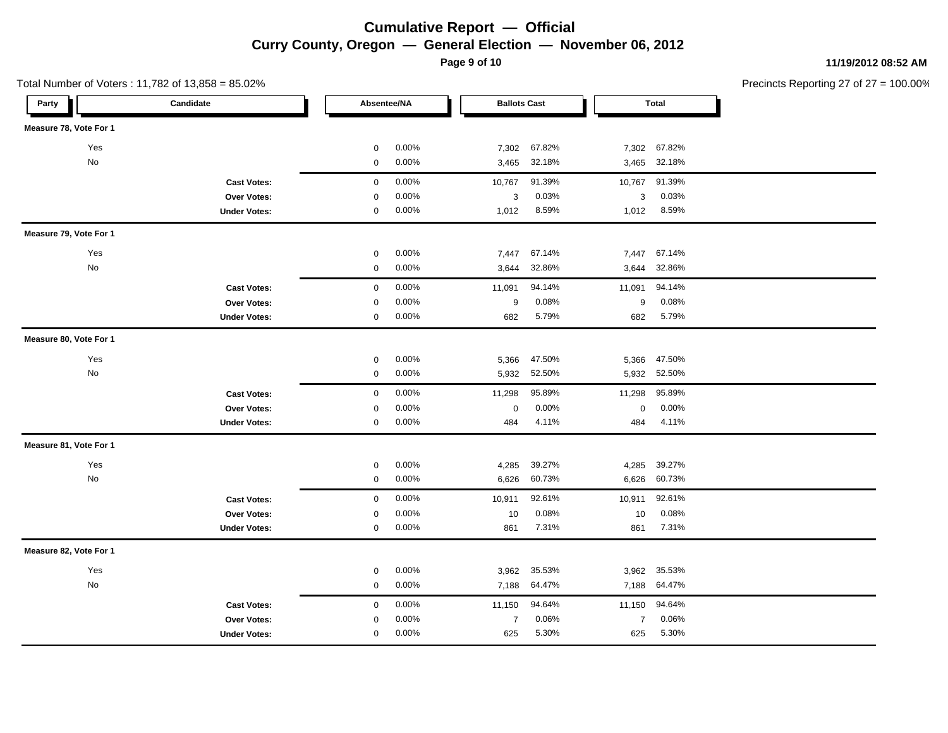**Page 9 of 10**

Total Number of Voters : 11,782 of 13,858 = 85.02%

**11/19/2012 08:52 AM**

| Candidate<br>Party     | Absentee/NA          | <b>Ballots Cast</b>     | <b>Total</b>              |  |
|------------------------|----------------------|-------------------------|---------------------------|--|
| Measure 78, Vote For 1 |                      |                         |                           |  |
| Yes                    | $\mathbf 0$<br>0.00% | 67.82%<br>7,302         | 7,302<br>67.82%           |  |
| No                     | $\mathbf 0$<br>0.00% | 32.18%<br>3,465         | 32.18%<br>3,465           |  |
| <b>Cast Votes:</b>     | $\mathsf 0$<br>0.00% | 10,767<br>91.39%        | 91.39%<br>10,767          |  |
| Over Votes:            | 0.00%<br>$\mathbf 0$ | 0.03%<br>$\sqrt{3}$     | 0.03%<br>3                |  |
| <b>Under Votes:</b>    | $\mathbf 0$<br>0.00% | 1,012<br>8.59%          | 1,012<br>8.59%            |  |
| Measure 79, Vote For 1 |                      |                         |                           |  |
| Yes                    | 0.00%<br>$\mathbf 0$ | 67.14%<br>7,447         | 67.14%<br>7,447           |  |
| No                     | 0.00%<br>$\mathbf 0$ | 32.86%<br>3,644         | 32.86%<br>3,644           |  |
| <b>Cast Votes:</b>     | 0.00%<br>$\mathbf 0$ | 94.14%<br>11,091        | 94.14%<br>11,091          |  |
| Over Votes:            | 0.00%<br>$\mathbf 0$ | 0.08%<br>9              | 0.08%<br>$\boldsymbol{9}$ |  |
| <b>Under Votes:</b>    | 0.00%<br>$\pmb{0}$   | 5.79%<br>682            | 5.79%<br>682              |  |
| Measure 80, Vote For 1 |                      |                         |                           |  |
| Yes                    | 0.00%<br>$\pmb{0}$   | 5,366<br>47.50%         | 5,366<br>47.50%           |  |
| No                     | $\mathbf 0$<br>0.00% | 5,932<br>52.50%         | 5,932<br>52.50%           |  |
| <b>Cast Votes:</b>     | 0.00%<br>$\mathbf 0$ | 95.89%<br>11,298        | 95.89%<br>11,298          |  |
| Over Votes:            | 0.00%<br>0           | 0.00%<br>$\mathbf 0$    | 0.00%<br>$\mathbf 0$      |  |
| <b>Under Votes:</b>    | $\pmb{0}$<br>0.00%   | 484<br>4.11%            | 484<br>4.11%              |  |
| Measure 81, Vote For 1 |                      |                         |                           |  |
| Yes                    | 0.00%<br>$\pmb{0}$   | 39.27%<br>4,285         | 39.27%<br>4,285           |  |
| No                     | $\mathbf 0$<br>0.00% | 6,626<br>60.73%         | 6,626<br>60.73%           |  |
| <b>Cast Votes:</b>     | 0.00%<br>$\mathbf 0$ | 92.61%<br>10,911        | 92.61%<br>10,911          |  |
| <b>Over Votes:</b>     | 0.00%<br>0           | 0.08%<br>10             | 0.08%<br>10               |  |
| <b>Under Votes:</b>    | 0.00%<br>$\pmb{0}$   | 7.31%<br>861            | 7.31%<br>861              |  |
| Measure 82, Vote For 1 |                      |                         |                           |  |
| Yes                    | 0.00%<br>$\mathbf 0$ | 35.53%<br>3,962         | 35.53%<br>3,962           |  |
| No                     | 0.00%<br>$\mathsf 0$ | 64.47%<br>7,188         | 64.47%<br>7,188           |  |
| <b>Cast Votes:</b>     | 0.00%<br>$\mathbf 0$ | 94.64%<br>11,150        | 94.64%<br>11,150          |  |
| <b>Over Votes:</b>     | 0.00%<br>$\mathbf 0$ | 0.06%<br>$\overline{7}$ | 0.06%<br>$\overline{7}$   |  |
| <b>Under Votes:</b>    | 0.00%<br>$\mathbf 0$ | 5.30%<br>625            | 5.30%<br>625              |  |